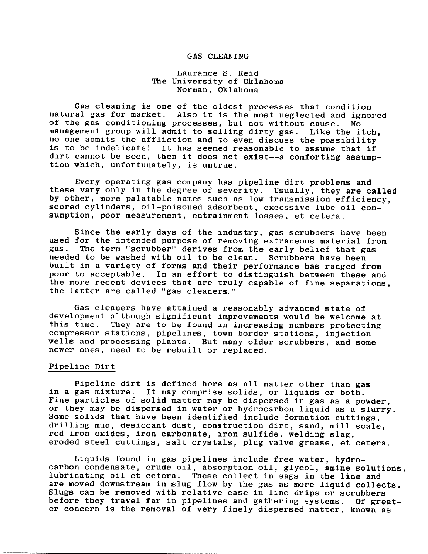# GAS CLEANING

# Laurance S. Reid The University of Oklahoma Norman, Oklahoma

Gas cleaning is one of the oldest processes that condition natural gas for market. Also it is the most neglected and ignored of the gas conditioning processes, but not without cause. No management group will admit to selling dirty gas. Like the itch, no one admits the affliction and to even discuss the possibility is to be indelicate! It has seemed reasonable to assume that if dirt cannot be seen, then it does not exist--a comforting assumption which, unfortunately, is untrue.

Every operating gas company has pipeline dirt problems and these vary only in the degree of severity. Usually, they are called by other, more palatable names such as low transmission efficiency, scored cylinders, oil-poisoned adsorbent, excessive lube oil consumption, poor measurement, entrainment losses, et cetera.

Since the early days of the industry, gas scrubbers have been used for the intended purpose of removing extraneous material from gas. The term "scrubber" derives from the early belief that gas needed to be washed with oil to be clean. Scrubbers have been built in a variety of forms and their performance has ranged from poor to acceptable. In an effort to distinguish between these and the more recent devices that are truly capable of fine separations, the latter are called "gas cleaners."

Gas cleaners have attained a reasonably advanced state of development although significant improvements would be welcome at this time. They are to be found in increasing numbers protecting compressor stations, pipelines, town border stations, injection wells and processing plants. But many older scrubbers, and some newer ones, need to be rebuilt or replaced.

### Pipeline Dirt

Pipeline dirt is defined here as all matter other than gas in a gas mixture. It may comprise solids, or liquids or both. Fine particles of solid matter may be dispersed in gas as a powder, or they may be dispersed in water or hydrocarbon liquid as a slurry. Some solids that have been identified include formation cuttings, drilling mud, desiccant dust, construction dirt, sand, mill scale, *red* iron oxides, iron carbonate, iron sulfide, welding slag, eroded steel cuttings, salt crystals, plug valve grease, et cetera.

Liquids found in gas pipelines include free water, hydrocarbon condensate, crude oil, absorption oil, glycol, amine solutions, lubricating oil et cetera. These collect in sags in the line and are moved downstream in slug flow by the gas as more liquid collects. Slugs can be removed with relative ease in line drips or scrubbers before they travel far in pipelines and gathering systems. Of greater concern is the removal of very finely dispersed matter, known as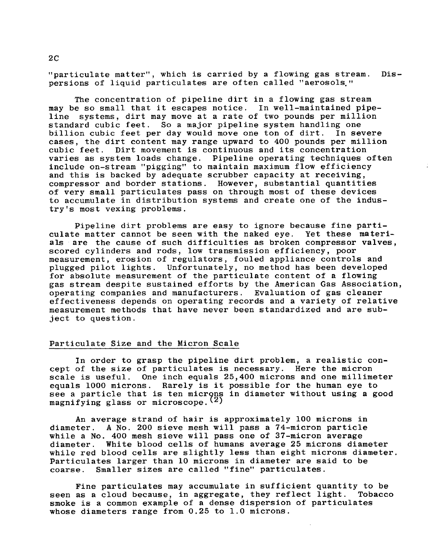"particulate matter", which is carried by a flowing gas stream. Dispersions of liquid particulates are often called "aerosols,"

The concentration of pipeline dirt in a flowing gas stream may be so small that it escapes notice. In well-maintained pipeline systems, dirt may move at a rate of two pounds per million standard cubic feet. So a major pipeline system handling one<br>billion cubic feet per day would move one ton of dirt. In severe billion cubic feet per day would move one ton of dirt. cases, the dirt content may range upward to 400 pounds per million cubic feet. Dirt movement is continuous and its concentration varies as system loads change. Pipeline operating techniques often include on-stream "pigging" to maintain maximum flow efficiency and this is backed by adequate scrubber capacity at receiving, compressor and border stations. However, substantial quantities of very small particulates pass on through most of these devices to accumulate in distribution systems and create one of the industry's most vexing problems.

Pipeline dirt problems are easy to ignore because fine parti-<br>e matter cannot be seen with the naked eve. Yet these matericulate matter cannot be seen with the naked eye. als are the cause of such difficulties as broken compressor valves, scored cylinders and rods, low transmission efficiency, poor measurement, erosion of regulators, fouled appliance controls and plugged pilot lights. Unfortunately, no method has been developed for absolute measurement of the particulate content of a flowing gas stream despite sustained efforts by the American Gas Association, operating companies and manufacturers. Evaluation of gas cleaner effectiveness depends on operating records and a variety of relative measurement methods that have never been standardized and are subject to question.

#### Particulate Size and the Micron Scale

In order to grasp the pipeline dirt problem, a realistic concept of the size of particulates is necessary. Here the micron scale is useful. One inch equals 25,400 microns and one millimeter equals 1000 microns. Rarely is it possible for the human eye to see a particle that is ten microns in diameter without using a good magnifying glass or microscope.  $(2)$ 

An average strand of hair is approximately i00 microns in diameter. A No. 200 sieve mesh will pass a 74-micron particle while a No. 400 mesh sieve will pass one of 37-micron average diameter. White blood cells of humans average 25 microns diameter while red blood cells are slightly less than eight microns diameter. Particulates larger than l0 microns in diameter are said to be coarse. Smaller sizes are called "fine" particulates.

Fine particulates may accumulate in sufficient quantity to be seen as a cloud because, in aggregate, they reflect light. Tobacco smoke is a common example of a dense dispersion of particulates whose diameters range from 0.25 to 1.0 microns.

2C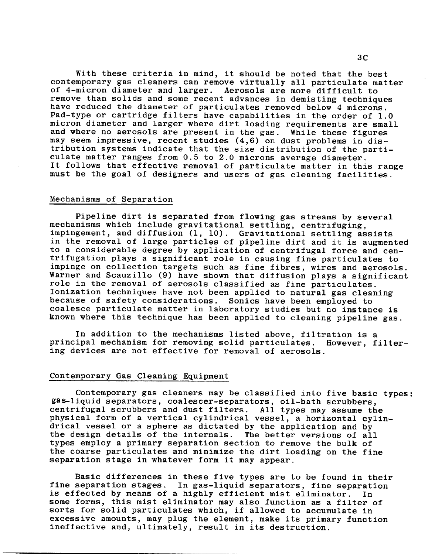With these criteria in mind, it should be noted *that* the best contemporary gas cleaners can remove virtually all particulate matter of 4-micron diameter and larger. Aerosols are more difficult to remove than solids and some recent advances in demisting techniques have reduced the diameter of particulates removed below 4 microns. Pad-type or cartridge filters have capabilities in the order of 1.0 micron diameter and larger where dirt loading requirements are small and where no aerosols are present in the gas. While these figures may seem impressive, recent studies (4,6) on dust problems in distribution systems indicate that the size distribution of the particulate matter ranges from 0.5 to 2.0 microns average diameter. It follows that effective removal of particulate matter in this range must be the goal of designers and users of gas cleaning facilities.

### Mechanisms of Separation

Pipeline dirt is separated from flowing gas streams by several mechanisms which include gravitational settling, centrifuging, impingement, and diffusion (1, 10). Gravitational settling assists in the removal of large particles of pipeline dirt and it is augmented to a considerable degree by application of centrifugal force and centrifugation plays a significant role in causing fine particulates to impinge on collection targets such as fine fibres, wires and aerosols. Warner and Scauzillo (9) have shown that diffusion plays a significant role in the removal of aerosols classified as fine particulates. Ionization techniques have not been applied to natural gas cleaning because of safety considerations. Sonics have been employed to coalesce particulate matter in laboratory studies but no instance is known where this technique has been applied to cleaning pipeline gas.

In addition to the mechanisms listed above, filtration is a principal mechanism for removing solid particulates. However, filtering devices are not effective for removal of aerosols.

#### Contemporary Gas Cleaning Equipment

Contemporary gas cleaners may be classified into five basic types: gas-liquid separators, coalescer-separators, oil-bath scrubbers, centrifugal scrubbers and dust filters. All types may assume the physical form of a vertical cylindrical vessel, a horizontal cylindrical vessel or a sphere as dictated by the application and by the design details of the internals. The better versions of all types employ a primary separation section to remove the bulk of the coarse particulates and minimize the dirt loading on the fine separation stage in whatever form it may appear.

Basic differences in these five types are to be found in their fine separation stages. In gas-liquid separators, fine separation is effected by means of a highly efficient mist eliminator. In some forms, this mist eliminator may also function as a filter of sorts for solid particulates which, if allowed to accumulate in excessive amounts, may plug the element, make its primary function ineffective and, ultimately, result in its destruction.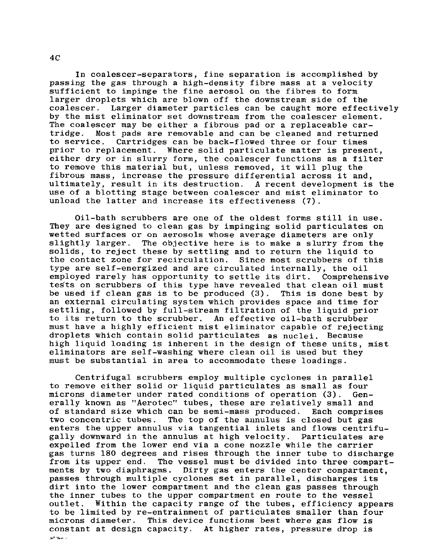In *coalescer-separators,* fine separation is accomplished by passing *the* gas through a high-density fibre mass at a velocity sufficient to impinge the fine aerosol on the fibres to form larger droplets which are blown off the downstream side of the coalescer. Larger diameter particles can be caught more effectively by the mist eliminator set downstream from the coalescer element. The coalescer may be either a fibrous pad or a replaceable cartridge. Most pads are removable and can be cleaned and returned to service. Cartridges can be back-flowed three or four times prior to replacement. Where solid particulate matter is present, either dry or in slurry form, the coalescer functions as a filter to remove this material but, unless removed, it will plug the fibrous mass, increase the pressure differential across it and, ultimately, result in its destruction. A recent development is the use of a blotting stage between coalescer and mist eliminator to unload the latter and increase its effectiveness (7).

Oil-bath scrubbers are one of the oldest forms still in use. They are designed to clean gas by impinging solid particulates on wetted surfaces *or* on aerosols whose average diameters are only slightly larger. The objective here is to make a slurry from the solids, to reject these by settling and to return the liquid to the contaet zone for recirculation. Since most scrubbers of this type are self-energized and are circulated internally, the oil employed rarely has opportunity to settle its dirt. Comprehensive tegts on scrubbers of this type have revealed that clean oil must be used if clean gas is to be produced (3). This is done best by an external circulating system which provides space and time for settling, followed by full-stream filtration of the liquid prior to its return to the scrubber. An effective oil-bath scrubber must have a highly efficient mist eliminator capable of rejecting droplets which contain solid particulates as nuclei. Because high liquid loading is inherent in the design of these units, mist eliminators are self-washing where clean oil is used but they must be substantial in area to accommodate these loadings.

Centrifugal scrubbers employ multiple cyclones in parallel to remove either solid or liquid particulates as small as four microns diameter under rated conditions of operation (3). Generally known as "Aerotec" tubes, these are relatively small and of standard size which can be semi-mass produced. Each comprises two concentric tubes. The top of the annulus is closed but gas enters the upper annulus via tangential inlets and flows centrifugally *downward* in the annulus at high velocity. Particulates are expelled from the lower end via a cone nozzle while the carrier gas turns 180 degrees and rises through the inner tube to discharge from its upper end. The vessel must be divided into three compartments by two diaphragms. Dirty gas enters the center *compartment,*  passes through multiple cyclones set in parallel, discharges its dirt into the lower compartment and the clean gas passes through the inner tubes to the upper compartment en *route to* the vessel outlet. Within the capacity range of the tubes, efficiency appears to be limited by re-entrainment of particulates smaller than four microns diameter. This device functions best where gas flow is constant at design capacity. At higher rates, pressure *drop* is د. معط<sup>ر ف</sup>عل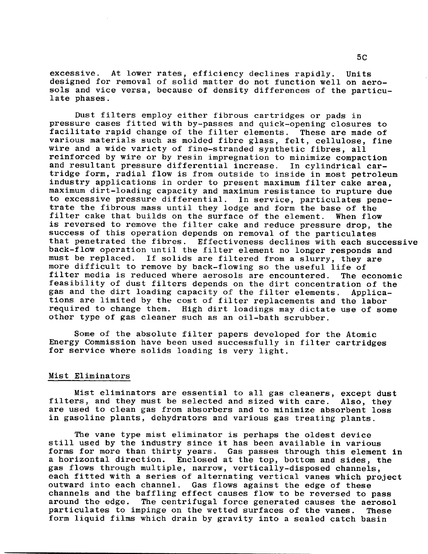excessive. At lower rates, efficiency declines rapidly. Units designed for removal of solid matter do not function well on aerosols and vice versa, because of density differences of the particulate phases.

Dust filters employ either fibrous cartridges or pads in pressure cases fitted with by-passes and quick-opening closures to facilitate rapid change of the filter elements. These are made of various materials such as molded fibre glass, felt, cellulose, fine wire and a wide variety of fine-stranded synthetic fibres, all reinforced by wire or by resin impregnation to minimize compaction and resultant pressure differential increase. In cylindrical cartridge form, radial flow is from outside to inside in most petroleum industry applications in order to present maximum filter cake area, maximum dirt-loading capacity and maximum resistance to rupture due to excessive pressure differential. In service, particulates penetrate the fibrous mass until they lodge and form the base of the filter cake that builds on the surface of the element. When flow is reversed to remove the filter cake and reduce pressure drop, the success of this operation depends on removal of the particulates that penetrated the fibres. Effectiveness declines with each successive back-flow operation until the filter element no longer responds and must be replaced. If solids are filtered from a slurry, they are more difficult to remove by back-flowing so the useful life of filter media is reduced where aerosols are encountered. The economic feasibility of dust filters depends on the *dirt* concentration of the gas and the dirt loading capacity of the filter elements. Applications are limited by the cost of filter replacements and the labor required to change them. High dirt loadings may dictate use of some other type of gas cleaner such as an oil-bath scrubber.

Some of the absolute filter papers developed for the Atomic Energy Commission have been used successfully in filter cartridges for service where solids loading is very light.

# Mist Eliminators

Mist eliminators are essential to all gas cleaners, except dust filters, and they must be selected and sized with care. Also, they are used to clean gas from absorbers and to minimize absorbent loss in gasoline plants, dehydrators and various gas treating plants.

The vane type mist eliminator is perhaps the oldest device still used by the industry since it has been available in various forms for more than thirty years. Gas passes through this element in a horizontal direction. Enclosed at the top, bottom and sides, the gas flows through multiple, narrow, vertically-disposed channels, each fitted with a series of alternating vertical vanes which project outward *into* each channel. Gas flows against the edge of these channels and the baffling effect causes flow to be reversed to pass around the edge. The centrifugal force generated causes the aerosol particulates to impinge on the wetted surfaces of the vanes. These form liquid films which drain by gravity into a sealed catch basin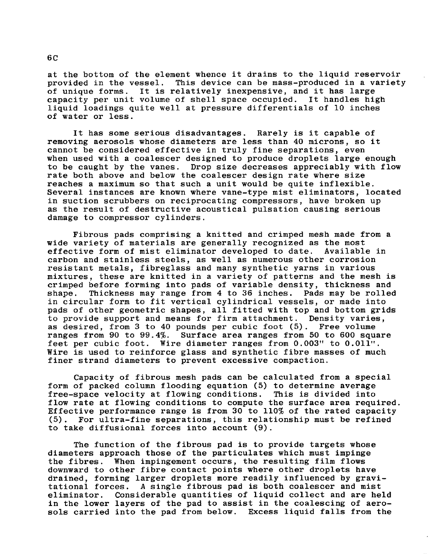at the bottom of the element whence it drains to the liquid reservoir<br>provided in the vessel. This device can be mass-produced in a variet This device can be mass-produced in a variety of unique forms. It is relatively inexpensive, and it has large capacity per unit volume of shell space occupied. It handles high liquid loadings quite well at pressure differentials of i0 inches of water or less.

It has some serious disadvantages. Rarely is it capable of removing aerosols whose diameters are less than 40 microns, so it cannot be considered effective in truly fine separations, even when used with a coalescer designed to produce droplets large enough to be caught by the vanes. Drop size decreases appreciably with flow rate both above and below the coalescer design rate where size reaches a maximum so that such a unit would be quite inflexible. Several instances are known where vane-type mist eliminators, located in suction scrubbers on reciprocating compressors, have broken up as the result of destructive acoustical pulsation causing serious damage to compressor cylinders.

Fibrous pads comprising a knitted and crimped mesh made from a wide variety of materials are generally recognized as the most<br>effective form of mist eliminator developed to date. Available in effective form of mist eliminator developed to date. carbon and stainless steels, as well as numerous other corrosion resistant metals, fibreglass and many synthetic yarns in various mixtures, these are knitted in a variety of patterns and the mesh is crimped before forming into pads of variable density, thickness and shape. Thickness may range from 4 to 36 inches. Pads may be rolled in circular form to fit vertical cylindrical vessels, or made into pads of other geometric shapes, all fitted with top and bottom grids to provide support and means for firm attachment. Density varies, as desired, from 3 to 40 pounds per cubic foot (5). Free volume ranges from 90 to 99.4%. Surface area ranges from 50 to 600 square feet per cubic foot. Wire diameter ranges from 0.003" to 0.011". Wire is used to reinforce glass and synthetic fibre masses of much finer strand diameters to prevent excessive compaction.

Capacity of fibrous mesh pads can be calculated from a special form of packed column flooding equation (5) to determine average free-space velocity at flowing conditions. This is divided into flow rate at flowing conditions to compute the surface area required. Effective performance range is from 30 to 110% of the rated capacity (5). For ultra-fine separations, this relationship must be refined to take diffusional forces into account (9).

The function of the fibrous pad is to provide targets whose diameters approach those of the particulates which must impinge the fibres. When impingement occurs, the resulting film flows downward to other fibre contact points where other *droplets* have drained, forming larger droplets more readily influenced by gravi-<br>tational forces. A single fibrous pad is both coalescer and mist A single fibrous pad is both coalescer and mist eliminator. Considerable quantities of liquid collect and are held in the lower layers of the pad to assist in the coalescing of aerosols carried into the pad from below. Excess liquid falls from the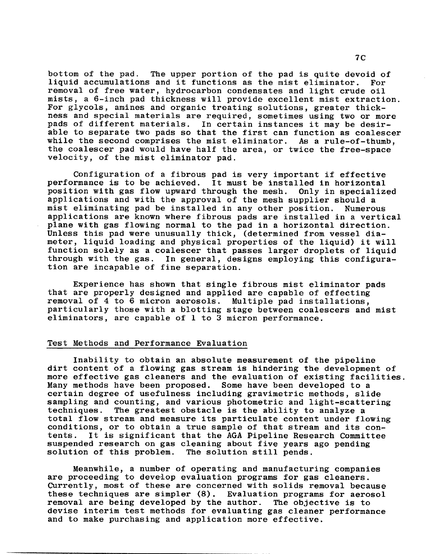bottom of the pad. The upper portion of the pad is quite devoid of liquid accumulations and it functions as the mist eliminator. For removal of free water, hydrocarbon condensates and light crude oil mists, a 6-inch pad thickness will provide excellent mist extraction. For glycols, amines and organic treating solutions, *greater* thickness and special materials are required, sometimes using two or *more*  In certain instances it may be desirable to separate two pads so that the first can function as coalescer while the second comprises the mist eliminator. As a rule-of-thumb, the coalescer pad would have half the area, or twice the free-space velocity, of the mist eliminator pad.

Configuration of a fibrous pad is very important if effective performance is to be achieved. It must be installed in horizontal position with gas flow upward through the mesh. applications and with the approval of the mesh supplier should a mist eliminating pad be installed in any other position. Numerous applications are known where fibrous pads are installed in a vertical plane with gas flowing normal to the pad in a horizontal direction. Unless this pad were unusually thick, (determined from vessel diameter, liquid loading and physical properties of the liquid) it will function solely as a coalescer that passes larger droplets of liquid through with the gas. In general, designs employing this configuration are incapable of fine separation.

Experience has shown that single fibrous mist eliminator pads that are properly designed and applied are capable of effecting removal of 4 to 6 micron aerosols. Multiple pad installations, particularly those with a blotting stage between coalescers and mist eliminators, are capable of 1 to 3 micron performance.

# Test Methods and Performance Evaluation

Inability to obtain an absolute measurement of the pipeline dirt content of a flowing gas stream is hindering the development of more effective gas cleaners and the evaluation of existing facilities. Many methods have been proposed. Some have been developed to a certain degree of usefulness including gravimetric methods, slide sampling and counting, and various photometric and light-scattering techniques. The greatest obstacle is the ability to analyze a total flow stream and measure its particulate content under flowing conditions, or to obtain a true sample of that stream and its contents. It is significant that the AGA Pipeline Research Committee suspended research on gas cleaning about five years ago pending solution of this problem. The solution still pends.

Meanwhile, a number of operating and manufacturing companies are proceeding to develop evaluation programs for gas cleaners. Currently, most of these are concerned with solids removal because these techniques are simpler (8). Evaluation programs for aerosol removal are being developed by the author. The objective is to devise interim test methods for evaluating gas cleaner performance and to make purchasing and application more effective.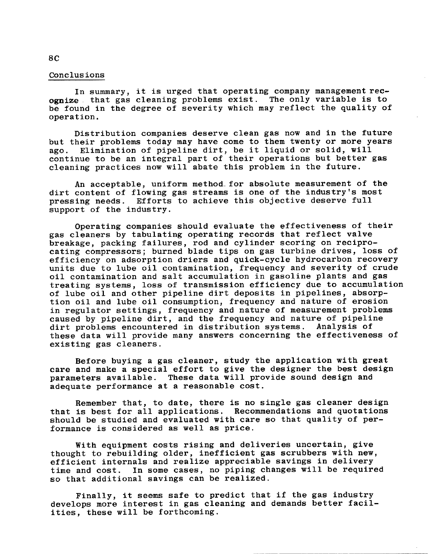In summary, it is urged that operating company management recognize that gas cleaning problems exist. The only variable is to be found in the degree of severity which may reflect the quality of operation.

Distribution companies deserve clean gas now and in the future but their problems today may have come to them twenty or more years ago. Elimination of pipeline dirt, be it liquid or solid, will continue to be an integral part of their operations but better gas cleaning practices now will abate this problem in the future.

An acceptable, uniform method for absolute measurement of the dirt content of flowing gas streams is one of the industry's most pressing needs. Efforts to achieve this objective deserve full support of the industry.

Operating companies should evaluate the effectiveness of their gas cleaners by tabulating operating records that reflect valve breakage, packing failures, rod and cylinder scoring on reciprocating compressors; burned blade tips on gas turbine drives, loss of efficiency on adsorption driers and quick-cycle hydrocarbon recovery units due to lube oil contamination, frequency and severity of crude oil contamination and salt accumulation in gasoline plants and gas treating systems, loss of transmission efficiency due to accumulation of lube oil and other pipeline dirt deposits in pipelines, absorption oil and lube oil consumption, frequency and nature of erosion in regulator settings, frequency and nature of measurement problems caused by pipeline dirt, and the frequency and nature of pipeline dirt problems encountered in distribution systems. Analysis of these data will provide many answers concerning the effectiveness of existing gas cleaners.

Before buying a gas cleaner, study the application with great care and make a special effort to give the designer the best design parameters available. These data will provide sound design and adequate performance at a reasonable cost.

Remember that, to date, there is no single gas cleaner design that is best for all applications. Recommendations and quotations should be studied and evaluated with care so that quality of performance is considered as well as price.

With equipment costs rising and deliveries uncertain, give thought to rebuilding older, inefficient gas scrubbers with new, efficient internals and realize appreciable savings in delivery time and cost. In some cases, no piping changes will be required so that additional savings can be realized.

Finally, it seems safe to predict that if the gas industry develops more interest in gas cleaning and demands better facilities, these will be forthcoming.